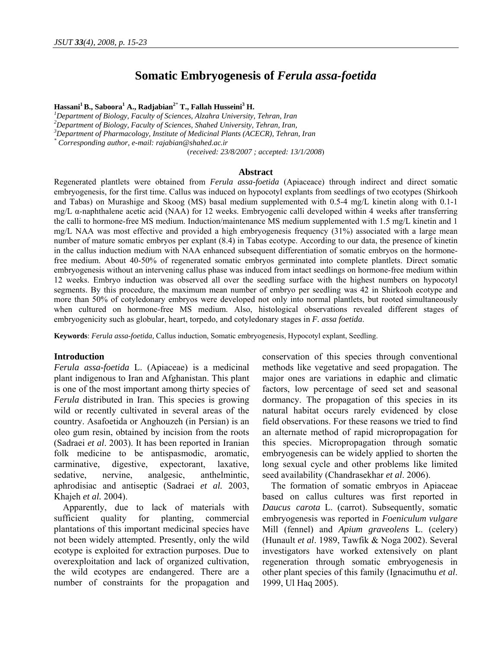# **Somatic Embryogenesis of** *Ferula assa-foetida*

 $\bold{H}$ assani $^1$ B., Saboora $^1$  A., Radjabian<sup>2\*</sup> T., Fallah Husseini $^3$  H.

<sup>1</sup>Department of Biology, Faculty of Sciences, Alzahra University, Tehran, Iran

*2 Department of Biology, Faculty of Sciences, Shahed University, Tehran, Iran,* 

*3 Department of Pharmacology, Institute of Medicinal Plants (ACECR), Tehran, Iran* 

*\* Corresponding author, e-mail: rajabian@shahed.ac.ir* 

(*received: 23/8/2007 ; accepted: 13/1/2008*)

#### **Abstract**

Regenerated plantlets were obtained from *Ferula assa-foetida* (Apiaceace) through indirect and direct somatic embryogenesis, for the first time. Callus was induced on hypocotyl explants from seedlings of two ecotypes (Shirkooh and Tabas) on Murashige and Skoog (MS) basal medium supplemented with 0.5-4 mg/L kinetin along with 0.1-1 mg/L α-naphthalene acetic acid (NAA) for 12 weeks. Embryogenic calli developed within 4 weeks after transferring the calli to hormone-free MS medium. Induction/maintenance MS medium supplemented with 1.5 mg/L kinetin and 1 mg/L NAA was most effective and provided a high embryogenesis frequency (31%) associated with a large mean number of mature somatic embryos per explant (8.4) in Tabas ecotype. According to our data, the presence of kinetin in the callus induction medium with NAA enhanced subsequent differentiation of somatic embryos on the hormonefree medium. About 40-50% of regenerated somatic embryos germinated into complete plantlets. Direct somatic embryogenesis without an intervening callus phase was induced from intact seedlings on hormone-free medium within 12 weeks. Embryo induction was observed all over the seedling surface with the highest numbers on hypocotyl segments. By this procedure, the maximum mean number of embryo per seedling was 42 in Shirkooh ecotype and more than 50% of cotyledonary embryos were developed not only into normal plantlets, but rooted simultaneously when cultured on hormone-free MS medium. Also, histological observations revealed different stages of embryogenicity such as globular, heart, torpedo, and cotyledonary stages in *F. assa foetida*.

**Keywords**: *Ferula assa-foetida,* Callus induction, Somatic embryogenesis, Hypocotyl explant, Seedling.

#### **Introduction**

*Ferula assa-foetida* L. (Apiaceae) is a medicinal plant indigenous to Iran and Afghanistan. This plant is one of the most important among thirty species of *Ferula* distributed in Iran. This species is growing wild or recently cultivated in several areas of the country. Asafoetida or Anghouzeh (in Persian) is an oleo gum resin, obtained by incision from the roots (Sadraei *et al*. 2003). It has been reported in Iranian folk medicine to be antispasmodic, aromatic, carminative, digestive, expectorant, laxative, sedative, nervine, analgesic, anthelmintic, aphrodisiac and antiseptic (Sadraei *et al.* 2003, Khajeh *et al.* 2004).

Apparently, due to lack of materials with sufficient quality for planting, commercial plantations of this important medicinal species have not been widely attempted. Presently, only the wild ecotype is exploited for extraction purposes. Due to overexploitation and lack of organized cultivation, the wild ecotypes are endangered. There are a number of constraints for the propagation and conservation of this species through conventional methods like vegetative and seed propagation. The major ones are variations in edaphic and climatic factors, low percentage of seed set and seasonal dormancy. The propagation of this species in its natural habitat occurs rarely evidenced by close field observations. For these reasons we tried to find an alternate method of rapid micropropagation for this species. Micropropagation through somatic embryogenesis can be widely applied to shorten the long sexual cycle and other problems like limited seed availability (Chandrasekhar *et al*. 2006).

The formation of somatic embryos in Apiaceae based on callus cultures was first reported in *Daucus carota* L. (carrot). Subsequently, somatic embryogenesis was reported in *Foeniculum vulgare*  Mill (fennel) and *Apium graveolens* L. (celery) (Hunault *et al*. 1989, Tawfik & Noga 2002). Several investigators have worked extensively on plant regeneration through somatic embryogenesis in other plant species of this family (Ignacimuthu *et al*. 1999, Ul Haq 2005).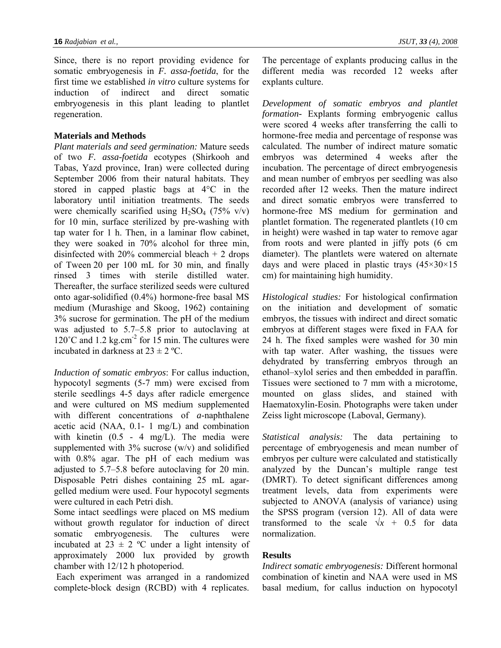Since, there is no report providing evidence for somatic embryogenesis in *F. assa-foetida*, for the first time we established *in vitro* culture systems for induction of indirect and direct somatic embryogenesis in this plant leading to plantlet regeneration.

# **Materials and Methods**

*Plant materials and seed germination:* Mature seeds of two *F. assa-foetida* ecotypes (Shirkooh and Tabas, Yazd province, Iran) were collected during September 2006 from their natural habitats. They stored in capped plastic bags at 4°C in the laboratory until initiation treatments. The seeds were chemically scarified using  $H_2SO_4$  (75% v/v) for 10 min, surface sterilized by pre-washing with tap water for 1 h. Then, in a laminar flow cabinet, they were soaked in 70% alcohol for three min, disinfected with  $20\%$  commercial bleach  $+2$  drops of Tween 20 per 100 mL for 30 min, and finally rinsed 3 times with sterile distilled water. Thereafter, the surface sterilized seeds were cultured onto agar-solidified (0.4%) hormone-free basal MS medium (Murashige and Skoog, 1962) containing 3% sucrose for germination. The pH of the medium was adjusted to 5.7–5.8 prior to autoclaving at  $120^{\circ}$ C and  $1.2$  kg.cm<sup>-2</sup> for  $15$  min. The cultures were incubated in darkness at  $23 \pm 2$  °C.

*Induction of somatic embryos*: For callus induction, hypocotyl segments (5-7 mm) were excised from sterile seedlings 4-5 days after radicle emergence and were cultured on MS medium supplemented with different concentrations of *a*-naphthalene acetic acid (NAA, 0.1- 1 mg/L) and combination with kinetin (0.5 - 4 mg/L). The media were supplemented with  $3\%$  sucrose (w/v) and solidified with 0.8% agar. The pH of each medium was adjusted to 5.7–5.8 before autoclaving for 20 min. Disposable Petri dishes containing 25 mL agargelled medium were used. Four hypocotyl segments were cultured in each Petri dish.

Some intact seedlings were placed on MS medium without growth regulator for induction of direct somatic embryogenesis. The cultures were incubated at  $23 \pm 2$  °C under a light intensity of approximately 2000 lux provided by growth chamber with 12/12 h photoperiod.

 Each experiment was arranged in a randomized complete-block design (RCBD) with 4 replicates. The percentage of explants producing callus in the different media was recorded 12 weeks after explants culture.

*Development of somatic embryos and plantlet formation-* Explants forming embryogenic callus were scored 4 weeks after transferring the calli to hormone-free media and percentage of response was calculated. The number of indirect mature somatic embryos was determined 4 weeks after the incubation. The percentage of direct embryogenesis and mean number of embryos per seedling was also recorded after 12 weeks. Then the mature indirect and direct somatic embryos were transferred to hormone-free MS medium for germination and plantlet formation. The regenerated plantlets (10 cm in height) were washed in tap water to remove agar from roots and were planted in jiffy pots (6 cm diameter). The plantlets were watered on alternate days and were placed in plastic trays  $(45\times30\times15)$ cm) for maintaining high humidity.

*Histological studies:* For histological confirmation on the initiation and development of somatic embryos, the tissues with indirect and direct somatic embryos at different stages were fixed in FAA for 24 h. The fixed samples were washed for 30 min with tap water. After washing, the tissues were dehydrated by transferring embryos through an ethanol–xylol series and then embedded in paraffin. Tissues were sectioned to 7 mm with a microtome, mounted on glass slides, and stained with Haematoxylin-Eosin. Photographs were taken under Zeiss light microscope (Laboval, Germany).

*Statistical analysis:* The data pertaining to percentage of embryogenesis and mean number of embryos per culture were calculated and statistically analyzed by the Duncan's multiple range test (DMRT). To detect significant differences among treatment levels, data from experiments were subjected to ANOVA (analysis of variance) using the SPSS program (version 12). All of data were transformed to the scale  $\sqrt{x}$  + 0.5 for data normalization.

# **Results**

*Indirect somatic embryogenesis:* Different hormonal combination of kinetin and NAA were used in MS basal medium, for callus induction on hypocotyl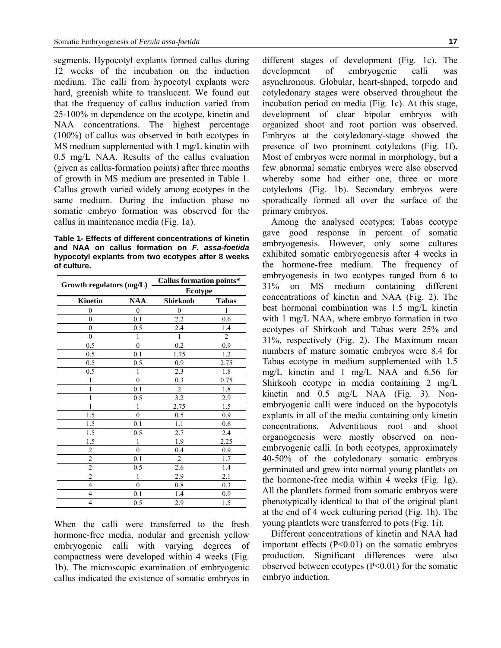segments. Hypocotyl explants formed callus during 12 weeks of the incubation on the induction medium. The calli from hypocotyl explants were hard, greenish white to translucent. We found out that the frequency of callus induction varied from 25-100% in dependence on the ecotype, kinetin and NAA concentrations. The highest percentage (100%) of callus was observed in both ecotypes in MS medium supplemented with 1 mg/L kinetin with 0.5 mg/L NAA. Results of the callus evaluation (given as callus-formation points) after three months of growth in MS medium are presented in Table 1. Callus growth varied widely among ecotypes in the same medium. During the induction phase no somatic embryo formation was observed for the callus in maintenance media (Fig. 1a).

**Table 1- Effects of different concentrations of kinetin and NAA on callus formation on** *F. assa-foetida* **hypocotyl explants from two ecotypes after 8 weeks of culture.** 

| Growth regulators (mg/L) |                | <b>Callus formation points*</b><br><b>Ecotype</b> |         |
|--------------------------|----------------|---------------------------------------------------|---------|
|                          |                |                                                   |         |
| $\overline{0}$           | $\overline{0}$ | $\overline{0}$                                    | 1       |
| $\theta$                 | 0.1            | 2.2                                               | 0.6     |
| $\theta$                 | 0.5            | 2.4                                               | 1.4     |
| $\theta$                 | 1              | 1                                                 | 2       |
| 0.5                      | $\theta$       | 0.2                                               | 0.9     |
| 0.5                      | 0.1            | 1.75                                              | 1.2     |
| 0.5                      | 0.5            | 0.9                                               | 2.75    |
| 0.5                      | 1              | 2.3                                               | 1.8     |
| 1                        | $\theta$       | 0.3                                               | 0.75    |
| 1                        | 0.1            | $\overline{2}$                                    | 1.8     |
| 1                        | 0.5            | 3.2                                               | 2.9     |
| 1                        | 1              | 2.75                                              | 1.5     |
| 1.5                      | $\theta$       | 0.5                                               | 0.9     |
| 1.5                      | 0.1            | 1.1                                               | 0.6     |
| 1.5                      | 0.5            | 2.7                                               | $2.4\,$ |
| 1.5                      | 1              | 1.9                                               | 2.25    |
| $\overline{2}$           | $\theta$       | 0.4                                               | 0.9     |
| $\overline{2}$           | 0.1            | $\overline{c}$                                    | 1.7     |
| $\overline{2}$           | 0.5            | 2.6                                               | 1.4     |
| $\overline{2}$           | 1              | 2.9                                               | 2.1     |
| $\overline{4}$           | $\theta$       | 0.8                                               | 0.3     |
| 4                        | 0.1            | 1.4                                               | 0.9     |
| 4                        | 0.5            | 2.9                                               | 1.5     |

When the calli were transferred to the fresh hormone-free media, nodular and greenish yellow embryogenic calli with varying degrees of compactness were developed within 4 weeks (Fig. 1b). The microscopic examination of embryogenic callus indicated the existence of somatic embryos in different stages of development (Fig. 1c). The development of embryogenic calli was asynchronous. Globular, heart-shaped, torpedo and cotyledonary stages were observed throughout the incubation period on media (Fig. 1c). At this stage, development of clear bipolar embryos with organized shoot and root portion was observed. Embryos at the cotyledonary-stage showed the presence of two prominent cotyledons (Fig. 1f). Most of embryos were normal in morphology, but a few abnormal somatic embryos were also observed whereby some had either one, three or more cotyledons (Fig. 1b). Secondary embryos were sporadically formed all over the surface of the primary embryos.

Among the analysed ecotypes; Tabas ecotype gave good response in percent of somatic embryogenesis. However, only some cultures exhibited somatic embryogenesis after 4 weeks in the hormone-free medium. The frequency of embryogenesis in two ecotypes ranged from 6 to 31% on MS medium containing different concentrations of kinetin and NAA (Fig. 2). The best hormonal combination was 1.5 mg/L kinetin with 1 mg/L NAA, where embryo formation in two ecotypes of Shirkooh and Tabas were 25% and 31%, respectively (Fig. 2). The Maximum mean numbers of mature somatic embryos were 8.4 for Tabas ecotype in medium supplemented with 1.5 mg/L kinetin and 1 mg/L NAA and 6.56 for Shirkooh ecotype in media containing 2 mg/L kinetin and 0.5 mg/L NAA (Fig. 3). Nonembryogenic calli were induced on the hypocotyls explants in all of the media containing only kinetin concentrations. Adventitious root and shoot organogenesis were mostly observed on nonembryogenic calli. In both ecotypes, approximately 40-50% of the cotyledonary somatic embryos germinated and grew into normal young plantlets on the hormone-free media within 4 weeks (Fig. 1g). All the plantlets formed from somatic embryos were phenotypically identical to that of the original plant at the end of 4 week culturing period (Fig. 1h). The young plantlets were transferred to pots (Fig. 1i).

Different concentrations of kinetin and NAA had important effects  $(P<0.01)$  on the somatic embryos production. Significant differences were also observed between ecotypes (P<0.01) for the somatic embryo induction.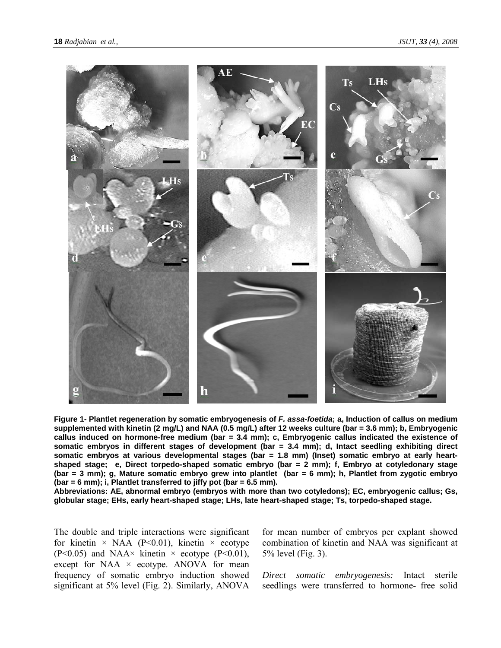

**Figure 1- Plantlet regeneration by somatic embryogenesis of** *F. assa-foetida***; a, Induction of callus on medium supplemented with kinetin (2 mg/L) and NAA (0.5 mg/L) after 12 weeks culture (bar = 3.6 mm); b, Embryogenic callus induced on hormone-free medium (bar = 3.4 mm); c, Embryogenic callus indicated the existence of somatic embryos in different stages of development (bar = 3.4 mm); d, Intact seedling exhibiting direct somatic embryos at various developmental stages (bar = 1.8 mm) (Inset) somatic embryo at early heartshaped stage; e, Direct torpedo-shaped somatic embryo (bar = 2 mm); f, Embryo at cotyledonary stage (bar = 3 mm); g, Mature somatic embryo grew into plantlet (bar = 6 mm); h, Plantlet from zygotic embryo (bar = 6 mm); i, Plantlet transferred to jiffy pot (bar = 6.5 mm).** 

**Abbreviations: AE, abnormal embryo (embryos with more than two cotyledons); EC, embryogenic callus; Gs, globular stage; EHs, early heart-shaped stage; LHs, late heart-shaped stage; Ts, torpedo-shaped stage.** 

The double and triple interactions were significant for kinetin  $\times$  NAA (P<0.01), kinetin  $\times$  ecotype (P<0.05) and NAA $\times$  kinetin  $\times$  ecotype (P<0.01), except for NAA  $\times$  ecotype. ANOVA for mean frequency of somatic embryo induction showed significant at 5% level (Fig. 2). Similarly, ANOVA

for mean number of embryos per explant showed combination of kinetin and NAA was significant at 5% level (Fig. 3).

*Direct somatic embryogenesis:* Intact sterile seedlings were transferred to hormone- free solid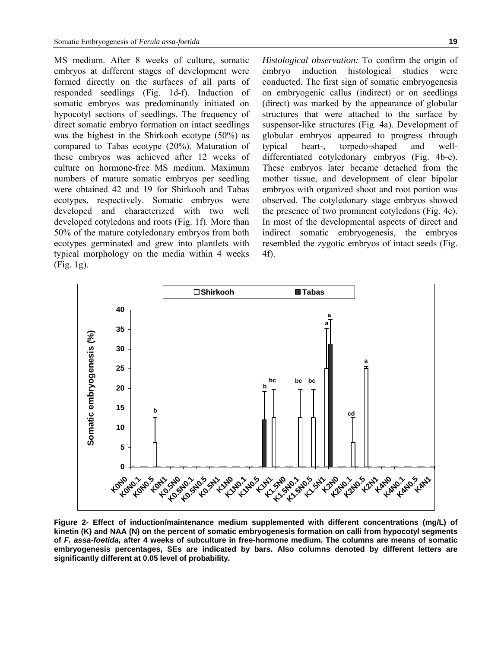MS medium. After 8 weeks of culture, somatic embryos at different stages of development were formed directly on the surfaces of all parts of responded seedlings (Fig. 1d-f). Induction of somatic embryos was predominantly initiated on hypocotyl sections of seedlings. The frequency of direct somatic embryo formation on intact seedlings was the highest in the Shirkooh ecotype (50%) as compared to Tabas ecotype (20%). Maturation of these embryos was achieved after 12 weeks of culture on hormone-free MS medium. Maximum numbers of mature somatic embryos per seedling were obtained 42 and 19 for Shirkooh and Tabas ecotypes, respectively. Somatic embryos were developed and characterized with two well developed cotyledons and roots (Fig. 1f). More than 50% of the mature cotyledonary embryos from both ecotypes germinated and grew into plantlets with typical morphology on the media within 4 weeks (Fig. 1g).

*Histological observation:* To confirm the origin of embryo induction histological studies were conducted. The first sign of somatic embryogenesis on embryogenic callus (indirect) or on seedlings (direct) was marked by the appearance of globular structures that were attached to the surface by suspensor-like structures (Fig. 4a). Development of globular embryos appeared to progress through typical heart-, torpedo-shaped and welldifferentiated cotyledonary embryos (Fig. 4b-e). These embryos later became detached from the mother tissue, and development of clear bipolar embryos with organized shoot and root portion was observed. The cotyledonary stage embryos showed the presence of two prominent cotyledons (Fig. 4e). In most of the developmental aspects of direct and indirect somatic embryogenesis, the embryos resembled the zygotic embryos of intact seeds (Fig. 4f).



**Figure 2- Effect of induction/maintenance medium supplemented with different concentrations (mg/L) of kinetin (K) and NAA (N) on the percent of somatic embryogenesis formation on calli from hypocotyl segments of** *F. assa-foetida,* **after 4 weeks of subculture in free-hormone medium. The columns are means of somatic embryogenesis percentages, SEs are indicated by bars. Also columns denoted by different letters are significantly different at 0.05 level of probability.**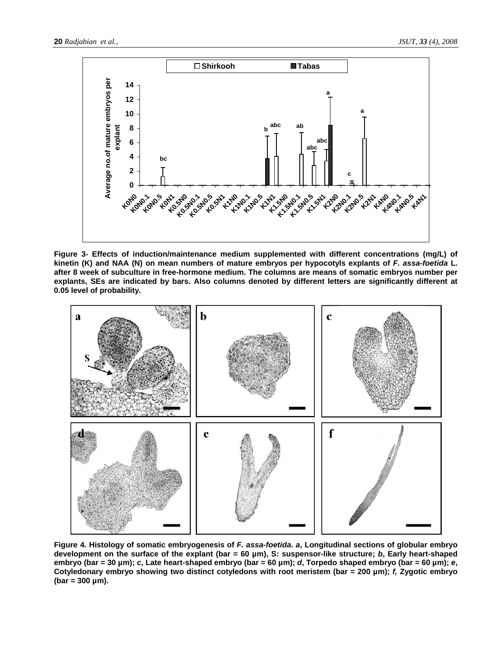

**Figure 3- Effects of induction/maintenance medium supplemented with different concentrations (mg/L) of kinetin (K) and NAA (N) on mean numbers of mature embryos per hypocotyls explants of** *F. assa-foetida* **L. after 8 week of subculture in free-hormone medium. The columns are means of somatic embryos number per explants, SEs are indicated by bars. Also columns denoted by different letters are significantly different at 0.05 level of probability.** 



**Figure 4. Histology of somatic embryogenesis of** *F. assa-foetida***.** *a***, Longitudinal sections of globular embryo development on the surface of the explant (bar = 60 µm), S: suspensor-like structure;** *b***, Early heart-shaped embryo (bar = 30 µm);** *c***, Late heart-shaped embryo (bar = 60 µm);** *d***, Torpedo shaped embryo (bar = 60 µm);** *e***, Cotyledonary embryo showing two distinct cotyledons with root meristem (bar = 200 µm);** *f,* **Zygotic embryo (bar = 300 µm).**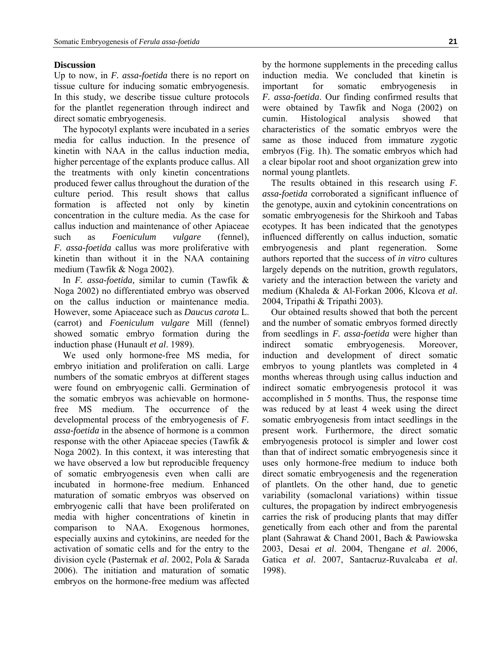### **Discussion**

Up to now, in *F. assa-foetida* there is no report on tissue culture for inducing somatic embryogenesis. In this study, we describe tissue culture protocols for the plantlet regeneration through indirect and direct somatic embryogenesis.

The hypocotyl explants were incubated in a series media for callus induction. In the presence of kinetin with NAA in the callus induction media, higher percentage of the explants produce callus. All the treatments with only kinetin concentrations produced fewer callus throughout the duration of the culture period. This result shows that callus formation is affected not only by kinetin concentration in the culture media. As the case for callus induction and maintenance of other Apiaceae such as *Foeniculum vulgare* (fennel), *F. assa-foetida* callus was more proliferative with kinetin than without it in the NAA containing medium (Tawfik & Noga 2002).

In *F. assa-foetida,* similar to cumin (Tawfik & Noga 2002) no differentiated embryo was observed on the callus induction or maintenance media. However, some Apiaceace such as *Daucus carota* L. (carrot) and *Foeniculum vulgare* Mill (fennel) showed somatic embryo formation during the induction phase (Hunault *et al*. 1989).

We used only hormone-free MS media, for embryo initiation and proliferation on calli. Large numbers of the somatic embryos at different stages were found on embryogenic calli. Germination of the somatic embryos was achievable on hormonefree MS medium. The occurrence of the developmental process of the embryogenesis of *F. assa-foetida* in the absence of hormone is a common response with the other Apiaceae species (Tawfik & Noga 2002). In this context, it was interesting that we have observed a low but reproducible frequency of somatic embryogenesis even when calli are incubated in hormone-free medium. Enhanced maturation of somatic embryos was observed on embryogenic calli that have been proliferated on media with higher concentrations of kinetin in comparison to NAA. Exogenous hormones, especially auxins and cytokinins, are needed for the activation of somatic cells and for the entry to the division cycle (Pasternak *et al*. 2002, Pola & Sarada 2006). The initiation and maturation of somatic embryos on the hormone-free medium was affected by the hormone supplements in the preceding callus induction media. We concluded that kinetin is important for somatic embryogenesis in *F. assa-foetida*. Our finding confirmed results that were obtained by Tawfik and Noga (2002) on cumin. Histological analysis showed that characteristics of the somatic embryos were the same as those induced from immature zygotic embryos (Fig. 1h). The somatic embryos which had a clear bipolar root and shoot organization grew into normal young plantlets.

The results obtained in this research using *F. assa-foetida* corroborated a significant influence of the genotype, auxin and cytokinin concentrations on somatic embryogenesis for the Shirkooh and Tabas ecotypes. It has been indicated that the genotypes influenced differently on callus induction, somatic embryogenesis and plant regeneration. Some authors reported that the success of *in vitro* cultures largely depends on the nutrition, growth regulators, variety and the interaction between the variety and medium (Khaleda & Al-Forkan 2006, Klcova *et al*. 2004, Tripathi & Tripathi 2003).

Our obtained results showed that both the percent and the number of somatic embryos formed directly from seedlings in *F. assa-foetida* were higher than indirect somatic embryogenesis. Moreover, induction and development of direct somatic embryos to young plantlets was completed in 4 months whereas through using callus induction and indirect somatic embryogenesis protocol it was accomplished in 5 months. Thus, the response time was reduced by at least 4 week using the direct somatic embryogenesis from intact seedlings in the present work. Furthermore, the direct somatic embryogenesis protocol is simpler and lower cost than that of indirect somatic embryogenesis since it uses only hormone-free medium to induce both direct somatic embryogenesis and the regeneration of plantlets. On the other hand, due to genetic variability (somaclonal variations) within tissue cultures, the propagation by indirect embryogenesis carries the risk of producing plants that may differ genetically from each other and from the parental plant (Sahrawat & Chand 2001, Bach & Pawiowska 2003, Desai *et al*. 2004, Thengane *et al*. 2006, Gatica *et al*. 2007, Santacruz-Ruvalcaba *et al*. 1998).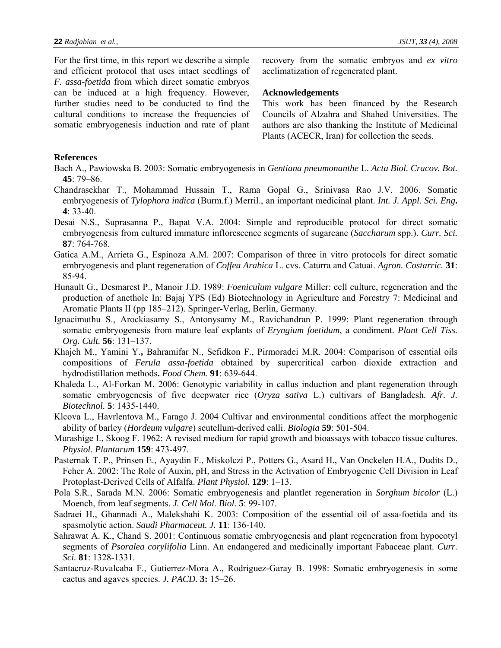For the first time, in this report we describe a simple and efficient protocol that uses intact seedlings of *F. assa-foetida* from which direct somatic embryos can be induced at a high frequency. However, further studies need to be conducted to find the cultural conditions to increase the frequencies of somatic embryogenesis induction and rate of plant recovery from the somatic embryos and *ex vitro* acclimatization of regenerated plant.

#### **Acknowledgements**

This work has been financed by the Research Councils of Alzahra and Shahed Universities. The authors are also thanking the Institute of Medicinal Plants (ACECR, Iran) for collection the seeds.

## **References**

- Bach A., Pawiowska B. 2003: Somatic embryogenesis in *Gentiana pneumonanthe* L. *Acta Biol. Cracov. Bot.*  **45**: 79–86.
- Chandrasekhar T., Mohammad Hussain T., Rama Gopal G., Srinivasa Rao J.V. 2006. Somatic embryogenesis of *Tylophora indica* (Burm.f.) Merril., an important medicinal plant. *Int. J. Appl. Sci. Eng***. 4**: 33-40.
- Desai N.S., Suprasanna P., Bapat V.A. 2004: Simple and reproducible protocol for direct somatic embryogenesis from cultured immature inflorescence segments of sugarcane (*Saccharum* spp.). *Curr. Sci.* **87**: 764-768.
- Gatica A.M., Arrieta G., Espinoza A.M. 2007: Comparison of three in vitro protocols for direct somatic embryogenesis and plant regeneration of *Coffea Arabica* L. cvs. Caturra and Catuai. *Agron. Costarric.* **31**: 85-94.
- Hunault G., Desmarest P., Manoir J.D. 1989: *Foeniculum vulgare* Miller: cell culture, regeneration and the production of anethole In: Bajaj YPS (Ed) Biotechnology in Agriculture and Forestry 7: Medicinal and Aromatic Plants II (pp 185–212). Springer-Verlag, Berlin, Germany.
- Ignacimuthu S., Arockiasamy S., Antonysamy M., Ravichandran P. 1999: Plant regeneration through somatic embryogenesis from mature leaf explants of *Eryngium foetidum*, a condiment. *Plant Cell Tiss. Org. Cult.* **56**: 131–137.
- Khajeh M., Yamini Y.**,** Bahramifar N., Sefidkon F., Pirmoradei M.R. 2004: Comparison of essential oils compositions of *Ferula assa-foetida* obtained by supercritical carbon dioxide extraction and hydrodistillation methods**.** *Food Chem.* **91**: 639-644.
- Khaleda L., Al-Forkan M. 2006: Genotypic variability in callus induction and plant regeneration through somatic embryogenesis of five deepwater rice (*Oryza sativa* L.) cultivars of Bangladesh. *Afr. J. Biotechnol.* **5**: 1435-1440.
- Klcova L., Havrlentova M., Farago J. 2004 Cultivar and environmental conditions affect the morphogenic ability of barley (*Hordeum vulgare*) scutellum-derived calli. *Biologia* **59**: 501-504.
- Murashige I., Skoog F. 1962: A revised medium for rapid growth and bioassays with tobacco tissue cultures. *Physiol. Plantarum* **159**: 473-497.
- Pasternak T. P., Prinsen E., Ayaydin F., Miskolczi P., Potters G., Asard H., Van Onckelen H.A., Dudits D., Feher A. 2002: The Role of Auxin, pH, and Stress in the Activation of Embryogenic Cell Division in Leaf Protoplast-Derived Cells of Alfalfa. *Plant Physiol.* **129**: 1–13.
- Pola S.R., Sarada M.N. 2006: Somatic embryogenesis and plantlet regeneration in *Sorghum bicolor* (L.) Moench, from leaf segments. *J. Cell Mol. Biol.* **5**: 99-107.
- Sadraei H., Ghannadi A., Malekshahi K. 2003: Composition of the essential oil of assa-foetida and its spasmolytic action. *Saudi Pharmaceut. J.* **11**: 136-140.
- Sahrawat A. K., Chand S. 2001: Continuous somatic embryogenesis and plant regeneration from hypocotyl segments of *Psoralea corylifolia* Linn. An endangered and medicinally important Fabaceae plant. *Curr. Sci.* **81**: 1328-1331.
- Santacruz-Ruvalcaba F., Gutierrez-Mora A., Rodriguez-Garay B. 1998: Somatic embryogenesis in some cactus and agaves species. *J. PACD.* **3:** 15–26.